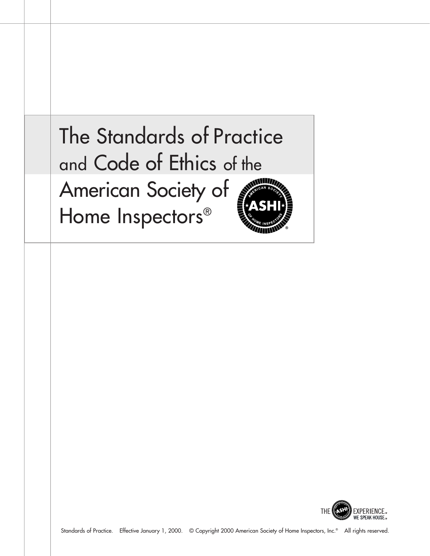



Standards of Practice. Effective January 1, 2000. © Copyright 2000 American Society of Home Inspectors, Inc.® All rights reserved.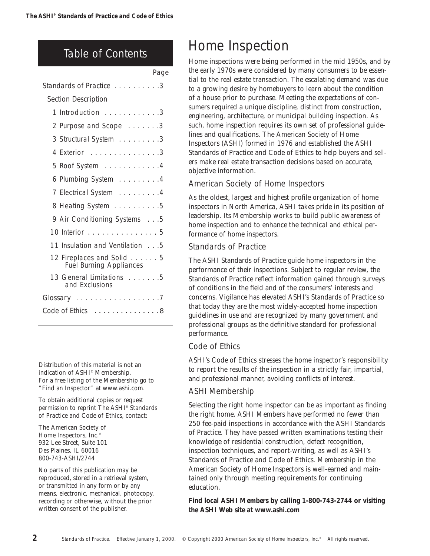# Table of Contents

|                                                             | Page |
|-------------------------------------------------------------|------|
| Standards of Practice 3                                     |      |
| Section Description                                         |      |
| 1 Introduction 3                                            |      |
| 2 Purpose and Scope 3                                       |      |
| 3 Structural System 3                                       |      |
| 4 Exterior 3                                                |      |
| 5 Roof System 4                                             |      |
| 6 Plumbing System 4                                         |      |
| 7 Electrical System 4                                       |      |
| 8 Heating System 5                                          |      |
| 9 Air Conditioning Systems 5                                |      |
| 10 Interior 5                                               |      |
| 11 Insulation and Ventilation 5                             |      |
| 12 Fireplaces and Solid 5<br><b>Fuel Burning Appliances</b> |      |
| 13 General Limitations 5<br>and Exclusions                  |      |
| Glossary 7                                                  |      |
| Code of Ethics<br>. 8                                       |      |
|                                                             |      |

Distribution of this material is not an indication of ASHI® Membership. For a free listing of the Membership go to "Find an Inspector" at www.ashi.com.

To obtain additional copies or request permission to reprint The ASHI® Standards of Practice and Code of Ethics, contact:

The American Society of Home Inspectors, Inc.® 932 Lee Street, Suite 101 Des Plaines, IL 60016 800-743-ASHI/2744

No parts of this publication may be reproduced, stored in a retrieval system, or transmitted in any form or by any means, electronic, mechanical, photocopy, recording or otherwise, without the prior written consent of the publisher.

# Home Inspection

Home inspections were being performed in the mid 1950s, and by the early 1970s were considered by many consumers to be essential to the real estate transaction. The escalating demand was due to a growing desire by homebuyers to learn about the condition of a house prior to purchase. Meeting the expectations of consumers required a unique discipline, distinct from construction, engineering, architecture, or municipal building inspection. As such, home inspection requires its own set of professional guidelines and qualifications. The American Society of Home Inspectors (ASHI) formed in 1976 and established the ASHI Standards of Practice and Code of Ethics to help buyers and sellers make real estate transaction decisions based on accurate, objective information.

# American Society of Home Inspectors

As the oldest, largest and highest profile organization of home inspectors in North America, ASHI takes pride in its position of leadership. Its Membership works to build public awareness of home inspection and to enhance the technical and ethical performance of home inspectors.

# Standards of Practice

The ASHI Standards of Practice guide home inspectors in the performance of their inspections. Subject to regular review, the Standards of Practice reflect information gained through surveys of conditions in the field and of the consumers' interests and concerns. Vigilance has elevated ASHI's Standards of Practice so that today they are the most widely-accepted home inspection guidelines in use and are recognized by many government and professional groups as the definitive standard for professional performance.

# Code of Ethics

ASHI's Code of Ethics stresses the home inspector's responsibility to report the results of the inspection in a strictly fair, impartial, and professional manner, avoiding conflicts of interest.

# ASHI Membership

Selecting the right home inspector can be as important as finding the right home. ASHI Members have performed no fewer than 250 fee-paid inspections in accordance with the ASHI Standards of Practice. They have passed written examinations testing their knowledge of residential construction, defect recognition, inspection techniques, and report-writing, as well as ASHI's Standards of Practice and Code of Ethics. Membership in the American Society of Home Inspectors is well-earned and maintained only through meeting requirements for continuing education.

**Find local ASHI Members by calling 1-800-743-2744 or visiting the ASHI Web site at www.ashi.com**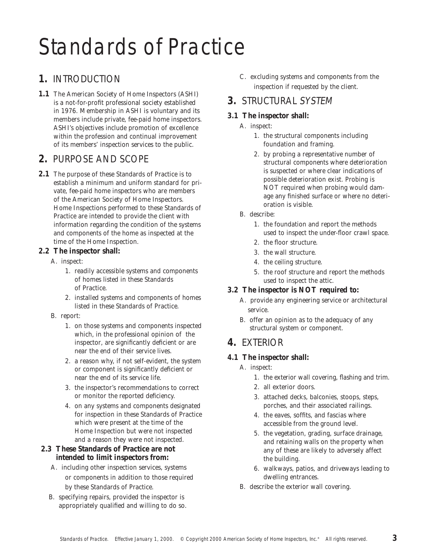# Standards of Practice

# **1.** INTRODUCTION

**1.1** The American Society of Home Inspectors (ASHI) is a not-for-profit professional society established in 1976. Membership in ASHI is voluntary and its members include private, fee-paid home *inspectors*. ASHI's objectives include promotion of excellence within the profession and continual improvement of its members' inspection services to the public.

# **2.** PURPOSE AND SCOPE

**2.1** The purpose of these Standards of Practice is to establish a minimum and uniform standard for private, fee-paid home *inspectors* who are members of the American Society of Home Inspectors. *Home Inspections* performed to these Standards of Practice are intended to provide the client with information regarding the condition of the *systems* and *components* of the home as *inspected* at the time of the *Home Inspection.*

## **2.2 The** *inspector* **shall:**

- A. *inspect:*
	- 1. *readily accessible systems* and *components* of homes listed in these Standards of Practice.
	- 2. *installed systems* and *components* of homes listed in these Standards of Practice.
- B. *report:*
	- 1. on those *systems* and *components inspected* which, in the professional opinion of the *inspector*, are *significantly deficient* or are near the end of their service lives.
	- 2. a reason why, if not self-evident, the *system* or *component* is *significantly deficient* or near the end of its service life.
	- 3. the *inspector*'s recommendations to correct or monitor the *reported* deficiency.
	- 4. on any *systems* and *components* designated for inspection in these Standards of Practice which were present at the time of the *Home Inspection* but were not *inspected* and a reason they were not *inspected.*
- **2.3 These Standards of Practice are not intended to limit** *inspectors* **from:** 
	- A. including other inspection services, *systems* or *components* in addition to those required by these Standards of Practice.
	- B. specifying repairs, provided the *inspector* is appropriately qualified and willing to do so.
- C. excluding *systems* and *components* from the inspection if requested by the client.
- **3.** STRUCTURAL SYSTEM
- **3.1 The** *inspector* **shall:**
	- A. *inspect:*
		- 1. the *structural component*s including foundation and framing.
		- 2. by probing a *representative number* of *structural component*s where deterioration is suspected or where clear indications of possible deterioration exist. Probing is NOT required when probing would damage any finished surface or where no deterioration is visible.
	- B. *describe*:
		- 1. the foundation and *report* the methods used to *inspect* the *under-floor crawl space*.
		- 2. the floor structure.
		- 3. the wall structure.
		- 4. the ceiling structure.
		- 5. the roof structure and *report* the methods used to *inspect* the attic.
- **3.2 The** *inspector* **is NOT required to:**
	- A. provide any *engineering service* or *architectural service.*
	- B. offer an opinion as to the adequacy of any *structural system* or *component.*

# **4.** EXTERIOR

- **4.1 The** *inspector* **shall:**
	- A. *inspect:*
		- 1. the exterior wall covering, flashing and trim.
		- 2. all exterior doors.
		- 3. attached decks, balconies, stoops, steps, porches, and their associated railings.
		- 4. the eaves, soffits, and fascias where accessible from the ground level.
		- 5. the vegetation, grading, surface drainage, and retaining walls on the property when any of these are likely to adversely affect the building.
		- 6. walkways, patios, and driveways leading to dwelling entrances.
	- B. *describe* the exterior wall covering.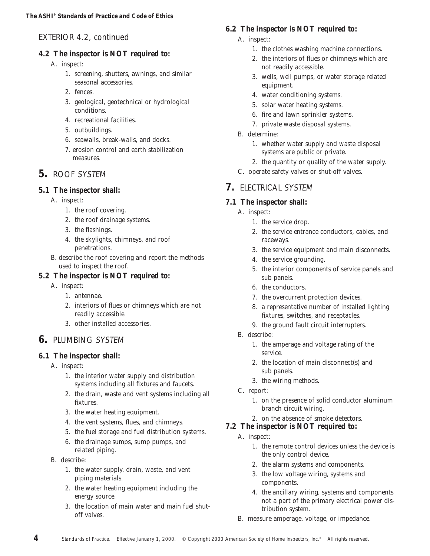# EXTERIOR 4.2, continued

### **4.2 The** *inspector* **is NOT required to:**

- A. *inspect:*
	- 1. screening, shutters, awnings, and similar seasonal accessories.
	- 2. fences.
	- 3. geological, geotechnical or hydrological conditions.
	- 4. *recreational facilities*.
	- 5. outbuildings.
	- 6. seawalls, break-walls, and docks.
	- 7. erosion control and earth stabilization measures.

# **5.** ROOF SYSTEM

- **5.1 The** *inspector* **shall:**
	- A. *inspect:*
		- 1. the roof covering.
		- 2. the *roof drainage systems*.
		- 3. the flashings.
		- 4. the skylights, chimneys, and roof penetrations.
	- B. *describe* the roof covering and *report* the methods used to *inspect* the roof.
- **5.2 The** *inspector* **is NOT required to:**
	- A. *inspect:*
		- 1. antennae.
		- 2. interiors of flues or chimneys which are not *readily accessible*.
		- 3. other *installed* accessories.

# **6.** PLUMBING SYSTEM

- **6.1 The** *inspector* **shall:**
	- A. *inspect:*
		- 1. the interior water supply and distribution *systems* including all fixtures and faucets.
		- 2. the drain, waste and vent *systems* including all fixtures.
		- 3. the water heating equipment.
		- 4. the vent *systems*, flues, and chimneys.
		- 5. the fuel storage and fuel distribution *systems*.
		- 6. the drainage sumps, sump pumps, and related piping.
	- B. *describe*:
		- 1. the water supply, drain, waste, and vent piping materials.
		- 2. the water heating equipment including the energy source.
		- 3. the location of main water and main fuel shutoff valves.
- **6.2 The** *inspector* **is NOT required to:**
	- A. *inspect:*
		- 1. the clothes washing machine connections.
		- 2. the interiors of flues or chimneys which are not *readily accessible*.
		- 3. wells, well pumps, or water storage related equipment.
		- 4. water conditioning *systems*.
		- 5. solar water heating *systems*.
		- 6. fire and lawn sprinkler *systems*.
		- 7. private waste disposal *systems*.
	- B. determine:
		- 1. whether water supply and waste disposal *systems* are public or private.
		- 2. the quantity or quality of the water supply.
	- C. operate safety valves or shut-off valves.

# **7.** ELECTRICAL SYSTEM

- **7.1 The** *inspector* **shall:**
	- A. *inspect:*
		- 1. the service drop.
		- 2. the service entrance conductors, cables, and raceways.
		- 3. the service equipment and main disconnects.
		- 4. the service grounding.
		- 5. the interior *components* of service panels and sub panels.
		- 6. the conductors.
		- 7. the overcurrent protection devices.
		- 8. a *representative number* of *installed* lighting fixtures, switches, and receptacles.
		- 9. the ground fault circuit interrupters.
	- B. *describe*:
		- 1. the amperage and voltage rating of the service.
		- 2. the location of main disconnect(s) and sub panels.
		- 3. the *wiring methods*.
	- C. *report*:
		- 1. on the presence of solid conductor aluminum branch circuit wiring.
	- 2. on the absence of smoke detectors.
- **7.2 The** *inspector* **is NOT required to:**
	- A. *inspect:*
		- 1. the remote control devices unless the device is the only control device.
		- 2. the *alarm systems* and *components.*
		- 3. the low voltage wiring, *systems* and *components.*
		- 4. the ancillary wiring, *systems* and *components* not a part of the primary electrical power distribution *system*.
	- B. measure amperage, voltage, or impedance.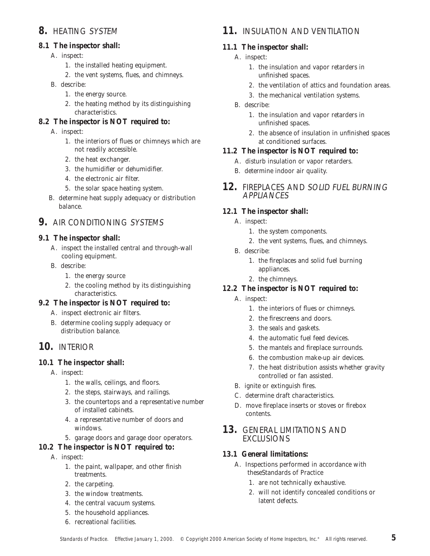# **8.** HEATING SYSTEM

- **8.1 The** *inspector* **shall:**
	- A. *inspect:*
		- 1. the *installed* heating equipment.
		- 2. the vent *systems*, flues, and chimneys.
	- B. *describe*:
		- 1. the energy source.
		- 2. the heating method by its distinguishing characteristics.
- **8.2 The** *inspector* **is NOT required to:**
	- A. *inspect:*
		- 1. the interiors of flues or chimneys which are not *readily accessible*.
		- 2. the heat exchanger.
		- 3. the humidifier or dehumidifier.
		- 4. the electronic air filter.
		- 5. the solar space heating *system*.
	- B. determine heat supply adequacy or distribution balance.

## **9.** AIR CONDITIONING SYSTEMS

- **9.1 The** *inspector* **shall:**
	- A. *inspect* the *installed* central and through-wall cooling equipment.
	- B. *describe*:
		- 1. the energy source
		- 2. the cooling method by its distinguishing characteristics.
- **9.2 The** *inspector* **is NOT required to:**
	- A. *inspect* electronic air filters.
	- B. determine cooling supply adequacy or distribution balance.
- **10.** INTERIOR
- **10.1 The** *inspector* **shall:**
	- A. *inspect:*
		- 1. the walls, ceilings, and floors.
		- 2. the steps, stairways, and railings.
		- 3. the countertops and a *representative number* of *installed* cabinets.
		- 4. a *representative number* of doors and windows.
		- 5. garage doors and garage door operators.
- **10.2 The** *inspector* **is NOT required to:**
	- A. *inspect:*
		- 1. the paint, wallpaper, and other finish treatments.
		- 2. the carpeting.
		- 3. the window treatments.
		- 4. the central vacuum *systems*.
		- 5. the *household appliances*.
		- 6. *recreational facilities*.

# **11.** INSULATION AND VENTILATION

#### **11.1 The** *inspector* **shall:**

- A. *inspect:*
	- 1. the insulation and vapor retarders in unfinished spaces.
	- 2. the ventilation of attics and foundation areas.
	- 3. the mechanical ventilation *systems*.
- B. *describe*:
	- 1. the insulation and vapor retarders in unfinished spaces.
	- 2. the absence of insulation in unfinished spaces at conditioned surfaces.
- **11.2 The** *inspector* **is NOT required to:**
	- A. disturb insulation or vapor retarders.
	- B. determine indoor air quality.
- **12.** FIREPLACES AND SOLID FUEL BURNING APPLIANCES
- **12.1 The** *inspector* **shall:**
	- A. *inspect:*
		- 1. the *system components.*
		- 2. the vent *systems*, flues, and chimneys.
	- B. *describe*:
		- 1. the fireplaces and *solid fuel burning appliances*.
		- 2. the chimneys.
- **12.2 The** *inspector* **is NOT required to:**
	- A. *inspect:*
		- 1. the interiors of flues or chimneys.
		- 2. the firescreens and doors.
		- 3. the seals and gaskets.
		- 4. the automatic fuel feed devices.
		- 5. the mantels and fireplace surrounds.
		- 6. the combustion make-up air devices.
		- 7. the heat distribution assists whether gravity controlled or fan assisted.
	- B. ignite or extinguish fires.
	- C. determine draft characteristics.
	- D. move fireplace inserts or stoves or firebox contents.
- **13.** GENERAL LIMITATIONS AND EXCLUSIONS
- **13.1 General limitations:** 
	- A. Inspections performed in accordance with theseStandards of Practice
		- 1. are not *technically exhaustive*.
		- 2. will not identify concealed conditions or latent defects.

**5**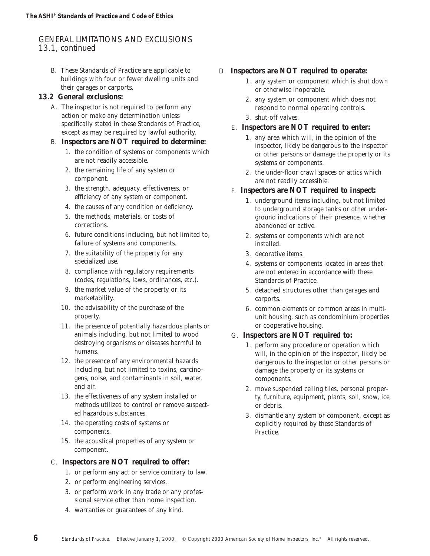# GENERAL LIMITATIONS AND EXCLUSIONS 13.1, continued

- B. These Standards of Practice are applicable to buildings with four or fewer dwelling units and their garages or carports.
- **13.2 General exclusions:**
	- A. The *inspector* is not required to perform any action or make any determination unless specifically stated in these Standards of Practice, except as may be required by lawful authority.
	- B. *Inspectors* **are NOT required to determine:** 
		- 1. the condition of *systems* or *components* which are not *readily accessible*.
		- 2. the remaining life of any *system* or *component.*
		- 3. the strength, adequacy, effectiveness, or efficiency of any *system* or *component.*
		- 4. the causes of any condition or deficiency.
		- 5. the methods, materials, or costs of corrections.
		- 6. future conditions including, but not limited to, failure of *systems* and *components.*
		- 7. the suitability of the property for any specialized use.
		- 8. compliance with regulatory requirements (codes, regulations, laws, ordinances, etc.).
		- 9. the market value of the property or its marketability.
		- 10. the advisability of the purchase of the property.
		- 11. the presence of potentially hazardous plants or animals including, but not limited to wood destroying organisms or diseases harmful to humans.
		- 12. the presence of any environmental hazards including, but not limited to toxins, carcinogens, noise, and contaminants in soil, water, and air.
		- 13. the effectiveness of any *system installed* or methods utilized to control or remove suspected hazardous substances.
		- 14. the operating costs of *systems* or *components.*
		- 15. the acoustical properties of any *system* or *component.*
	- C. *Inspectors* **are NOT required to offer:** 
		- 1. or perform any act or service contrary to law.
		- 2. or perform *engineering services.*
		- 3. or perform work in any trade or any professional service other than *home inspection.*
		- 4. warranties or guarantees of any kind.
- D. *Inspectors* **are NOT required to operate:**
	- 1. any *system* or *component* which is *shut down* or otherwise inoperable.
	- 2. any *system* or *component* which does not respond to *normal operating controls*.
	- 3. shut-off valves.
	- E. *Inspectors* **are NOT required to enter:**
		- 1. any area which will, in the opinion of the *inspector,* likely be dangerous to the *inspector* or other persons or damage the property or its *systems* or *components.*
		- 2. the *under-floor crawl space*s or attics which are not *readily accessible*.
	- F. *Inspectors* **are NOT required to** *inspect:*
		- 1. underground items including, but not limited to underground storage tanks or other underground indications of their presence, whether abandoned or active.
		- 2. *systems* or *components* which are not *installed*.
		- 3. *decorative items.*
		- 4. *systems* or *components* located in areas that are not entered in accordance with these Standards of Practice.
		- 5. detached structures other than garages and carports.
		- 6. common elements or common areas in multiunit housing, such as condominium properties or cooperative housing.
	- G. *Inspectors* **are NOT required to:**
		- 1. perform any procedure or operation which will, in the opinion of the *inspector*, likely be dangerous to the *inspector* or other persons or damage the property or its *systems* or *components.*
		- 2. move suspended ceiling tiles, personal property, furniture, equipment, plants, soil, snow, ice, or debris.
		- 3. *dismantle* any *system* or *component,* except as explicitly required by these Standards of Practice.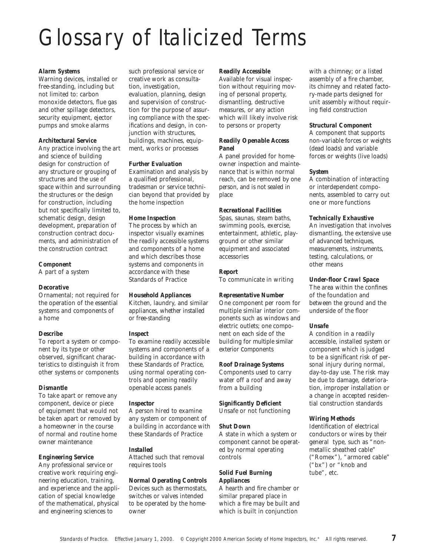# Glossary of Italicized Terms

#### *Alarm Systems*

Warning devices, *installed* or free-standing, including but not limited to: carbon monoxide detectors, flue gas and other spillage detectors, security equipment, ejector pumps and smoke alarms

#### *Architectural Service*

Any practice involving the art and science of building design for construction of any structure or grouping of structures and the use of space within and surrounding the structures or the design for construction, including but not specifically limited to, schematic design, design development, preparation of construction contract documents, and administration of the construction contract

# *Component*

A part of a *system*

#### *Decorative*

Ornamental; not required for the operation of the essential *systems* and *components* of a home

#### *Describe*

To *report* a *system* or *component* by its type or other observed, significant characteristics to distinguish it from other *systems* or *components*

#### *Dismantle*

To take apart or remove any *component,* device or piece of equipment that would not be taken apart or removed by a homeowner in the course of normal and routine home owner maintenance

*Engineering Service* Any professional service or creative work requiring engineering education, training, and experience and the application of special knowledge of the mathematical, physical and engineering sciences to

such professional service or creative work as consultation, investigation, *evaluation*, planning, design and supervision of construction for the purpose of assuring compliance with the specifications and design, in conjunction with structures, buildings, machines, equipment, works or processes

#### *Further Evaluation*

Examination and analysis by a qualified professional, tradesman or service technician beyond that provided by the *home inspection*

#### *Home Inspection*

The process by which an *inspector* visually examines the *readily accessible systems* and *components* of a home and which describes those *systems* and *components* in accordance with these Standards of Practice

*Household Appliances* Kitchen, laundry, and similar appliances, whether *installed* or free-standing

#### *Inspect*

To examine *readily accessible systems* and *components* of a building in accordance with these Standards of Practice, using *normal operating controls* and opening *readily openable access panels*

#### *Inspector*

A person hired to examine any *system* or *component* of a building in accordance with these Standards of Practice

#### *Installed*

Attached such that removal requires tools

*Normal Operating Controls* Devices such as thermostats, switches or valves intended to be operated by the homeowner

*Readily Accessible* Available for visual inspection without requiring moving of personal property, *dismantling,* destructive measures, or any action which will likely involve risk to persons or property

#### *Readily Openable Access Panel*

A panel provided for homeowner inspection and maintenance that is within normal reach, can be removed by one person, and is not sealed in place

*Recreational Facilities* Spas, saunas, steam baths, swimming pools, exercise, entertainment, athletic, playground or other similar equipment and associated accessories

#### *Report*

To communicate in writing

*Representative Number* One *component* per room for multiple similar interior *components* such as windows and electric outlets; one *component* on each side of the building for multiple similar exterior *components*

*Roof Drainage Systems Components* used to carry water off a roof and away from a building

*Significantly Deficient Unsafe* or not functioning

#### *Shut Down*

A state in which a *system* or *component* cannot be operated by *normal operating controls*

#### *Solid Fuel Burning Appliances*

A hearth and fire chamber or similar prepared place in which a fire may be built and which is built in conjunction

with a chimney; or a listed assembly of a fire chamber, its chimney and related factory-made parts designed for unit assembly without requiring field construction

#### *Structural Component*

A *component* that supports non-variable forces or weights (dead loads) and variable forces or weights (live loads)

#### *System*

A combination of interacting or interdependent *components,* assembled to carry out one or more functions

*Technically Exhaustive*

An investigation that involves *dismantling,* the extensive use of advanced techniques, measurements, instruments, testing, calculations, or other means

*Under-floor Crawl Space* The area within the confines of the foundation and between the ground and the underside of the floor

#### *Unsafe*

A condition in a *readily accessible*, *installed* system or *component* which is judged to be a significant risk of personal injury during normal, day-to-day use. The risk may be due to damage, deterioration, improper installation or a change in accepted residential construction standards

## *Wiring Methods*

Identification of electrical conductors or wires by their general type, such as "nonmetallic sheathed cable" ("Romex"), "armored cable" ("bx") or "knob and tube", etc.